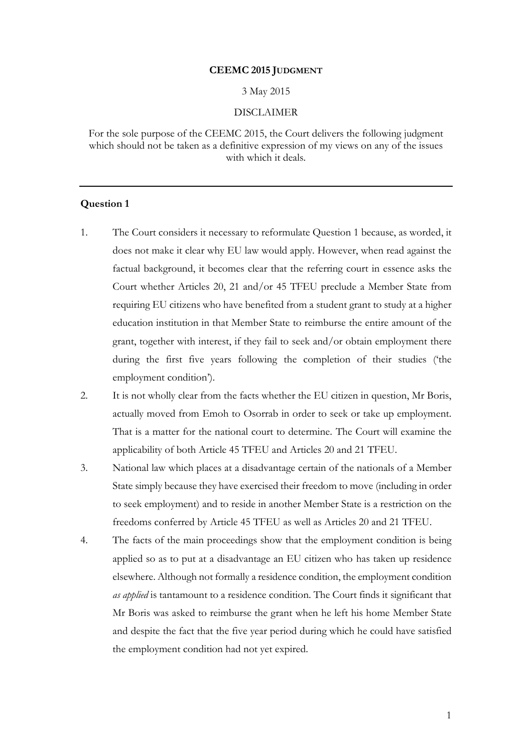### **CEEMC 2015 JUDGMENT**

#### 3 May 2015

### DISCLAIMER

For the sole purpose of the CEEMC 2015, the Court delivers the following judgment which should not be taken as a definitive expression of my views on any of the issues with which it deals.

- 1. The Court considers it necessary to reformulate Question 1 because, as worded, it does not make it clear why EU law would apply. However, when read against the factual background, it becomes clear that the referring court in essence asks the Court whether Articles 20, 21 and/or 45 TFEU preclude a Member State from requiring EU citizens who have benefited from a student grant to study at a higher education institution in that Member State to reimburse the entire amount of the grant, together with interest, if they fail to seek and/or obtain employment there during the first five years following the completion of their studies ('the employment condition').
- 2. It is not wholly clear from the facts whether the EU citizen in question, Mr Boris, actually moved from Emoh to Osorrab in order to seek or take up employment. That is a matter for the national court to determine. The Court will examine the applicability of both Article 45 TFEU and Articles 20 and 21 TFEU.
- 3. National law which places at a disadvantage certain of the nationals of a Member State simply because they have exercised their freedom to move (including in order to seek employment) and to reside in another Member State is a restriction on the freedoms conferred by Article 45 TFEU as well as Articles 20 and 21 TFEU.
- 4. The facts of the main proceedings show that the employment condition is being applied so as to put at a disadvantage an EU citizen who has taken up residence elsewhere. Although not formally a residence condition, the employment condition *as applied* is tantamount to a residence condition. The Court finds it significant that Mr Boris was asked to reimburse the grant when he left his home Member State and despite the fact that the five year period during which he could have satisfied the employment condition had not yet expired.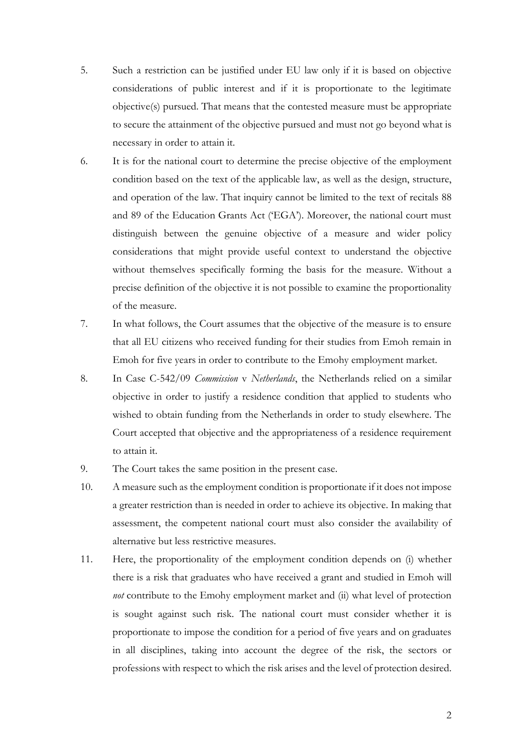- 5. Such a restriction can be justified under EU law only if it is based on objective considerations of public interest and if it is proportionate to the legitimate objective(s) pursued. That means that the contested measure must be appropriate to secure the attainment of the objective pursued and must not go beyond what is necessary in order to attain it.
- 6. It is for the national court to determine the precise objective of the employment condition based on the text of the applicable law, as well as the design, structure, and operation of the law. That inquiry cannot be limited to the text of recitals 88 and 89 of the Education Grants Act ('EGA'). Moreover, the national court must distinguish between the genuine objective of a measure and wider policy considerations that might provide useful context to understand the objective without themselves specifically forming the basis for the measure. Without a precise definition of the objective it is not possible to examine the proportionality of the measure.
- 7. In what follows, the Court assumes that the objective of the measure is to ensure that all EU citizens who received funding for their studies from Emoh remain in Emoh for five years in order to contribute to the Emohy employment market.
- 8. In Case C-542/09 *Commission* v *Netherlands*, the Netherlands relied on a similar objective in order to justify a residence condition that applied to students who wished to obtain funding from the Netherlands in order to study elsewhere. The Court accepted that objective and the appropriateness of a residence requirement to attain it.
- 9. The Court takes the same position in the present case.
- 10. A measure such as the employment condition is proportionate if it does not impose a greater restriction than is needed in order to achieve its objective. In making that assessment, the competent national court must also consider the availability of alternative but less restrictive measures.
- 11. Here, the proportionality of the employment condition depends on (i) whether there is a risk that graduates who have received a grant and studied in Emoh will *not* contribute to the Emohy employment market and (ii) what level of protection is sought against such risk. The national court must consider whether it is proportionate to impose the condition for a period of five years and on graduates in all disciplines, taking into account the degree of the risk, the sectors or professions with respect to which the risk arises and the level of protection desired.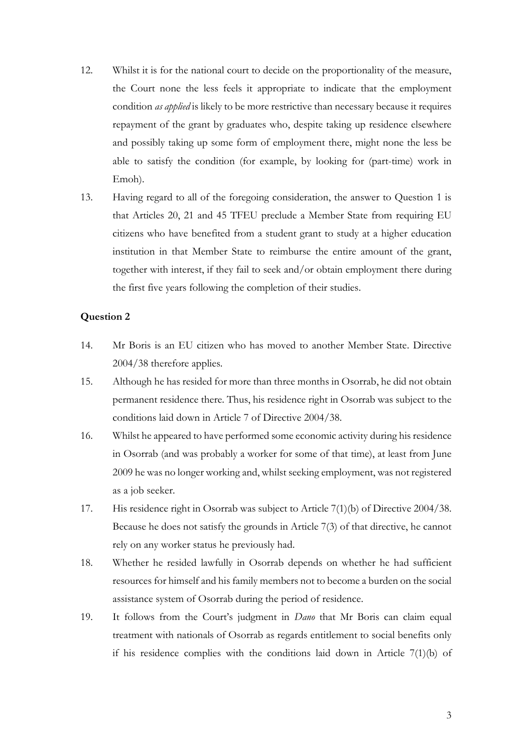- 12. Whilst it is for the national court to decide on the proportionality of the measure, the Court none the less feels it appropriate to indicate that the employment condition *as applied* is likely to be more restrictive than necessary because it requires repayment of the grant by graduates who, despite taking up residence elsewhere and possibly taking up some form of employment there, might none the less be able to satisfy the condition (for example, by looking for (part-time) work in Emoh).
- 13. Having regard to all of the foregoing consideration, the answer to Question 1 is that Articles 20, 21 and 45 TFEU preclude a Member State from requiring EU citizens who have benefited from a student grant to study at a higher education institution in that Member State to reimburse the entire amount of the grant, together with interest, if they fail to seek and/or obtain employment there during the first five years following the completion of their studies.

- 14. Mr Boris is an EU citizen who has moved to another Member State. Directive 2004/38 therefore applies.
- 15. Although he has resided for more than three months in Osorrab, he did not obtain permanent residence there. Thus, his residence right in Osorrab was subject to the conditions laid down in Article 7 of Directive 2004/38.
- 16. Whilst he appeared to have performed some economic activity during his residence in Osorrab (and was probably a worker for some of that time), at least from June 2009 he was no longer working and, whilst seeking employment, was not registered as a job seeker.
- 17. His residence right in Osorrab was subject to Article 7(1)(b) of Directive 2004/38. Because he does not satisfy the grounds in Article 7(3) of that directive, he cannot rely on any worker status he previously had.
- 18. Whether he resided lawfully in Osorrab depends on whether he had sufficient resources for himself and his family members not to become a burden on the social assistance system of Osorrab during the period of residence.
- 19. It follows from the Court's judgment in *Dano* that Mr Boris can claim equal treatment with nationals of Osorrab as regards entitlement to social benefits only if his residence complies with the conditions laid down in Article 7(1)(b) of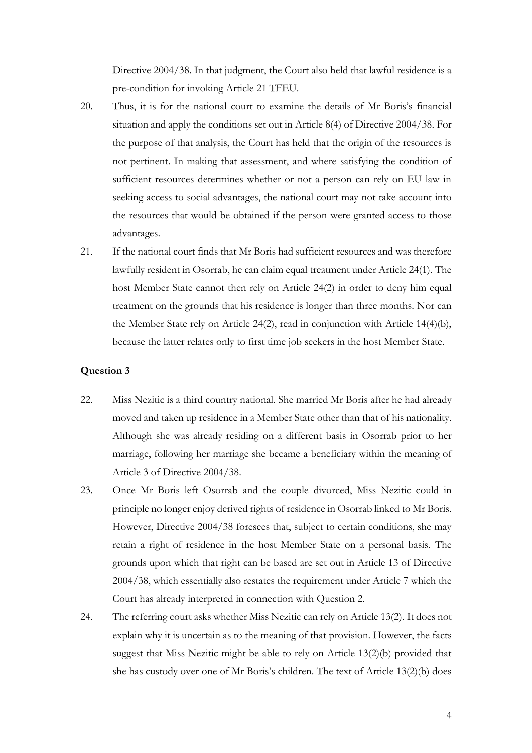Directive 2004/38. In that judgment, the Court also held that lawful residence is a pre-condition for invoking Article 21 TFEU.

- 20. Thus, it is for the national court to examine the details of Mr Boris's financial situation and apply the conditions set out in Article 8(4) of Directive 2004/38. For the purpose of that analysis, the Court has held that the origin of the resources is not pertinent. In making that assessment, and where satisfying the condition of sufficient resources determines whether or not a person can rely on EU law in seeking access to social advantages, the national court may not take account into the resources that would be obtained if the person were granted access to those advantages.
- 21. If the national court finds that Mr Boris had sufficient resources and was therefore lawfully resident in Osorrab, he can claim equal treatment under Article 24(1). The host Member State cannot then rely on Article 24(2) in order to deny him equal treatment on the grounds that his residence is longer than three months. Nor can the Member State rely on Article 24(2), read in conjunction with Article 14(4)(b), because the latter relates only to first time job seekers in the host Member State.

- 22. Miss Nezitic is a third country national. She married Mr Boris after he had already moved and taken up residence in a Member State other than that of his nationality. Although she was already residing on a different basis in Osorrab prior to her marriage, following her marriage she became a beneficiary within the meaning of Article 3 of Directive 2004/38.
- 23. Once Mr Boris left Osorrab and the couple divorced, Miss Nezitic could in principle no longer enjoy derived rights of residence in Osorrab linked to Mr Boris. However, Directive 2004/38 foresees that, subject to certain conditions, she may retain a right of residence in the host Member State on a personal basis. The grounds upon which that right can be based are set out in Article 13 of Directive 2004/38, which essentially also restates the requirement under Article 7 which the Court has already interpreted in connection with Question 2.
- 24. The referring court asks whether Miss Nezitic can rely on Article 13(2). It does not explain why it is uncertain as to the meaning of that provision. However, the facts suggest that Miss Nezitic might be able to rely on Article 13(2)(b) provided that she has custody over one of Mr Boris's children. The text of Article 13(2)(b) does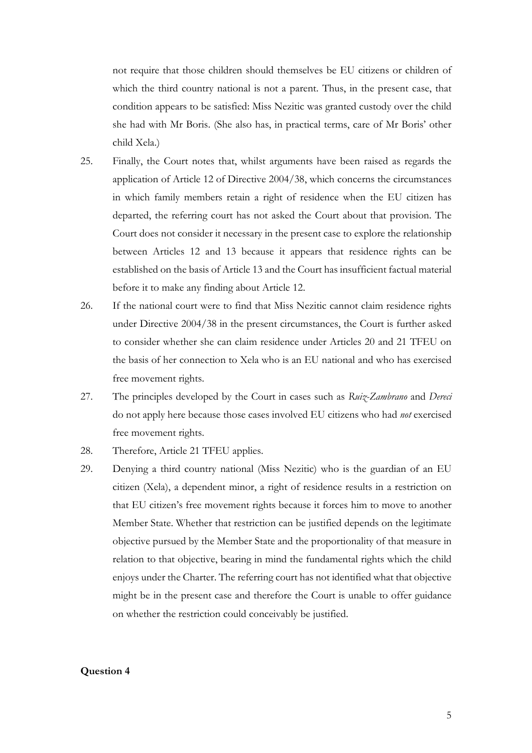not require that those children should themselves be EU citizens or children of which the third country national is not a parent. Thus, in the present case, that condition appears to be satisfied: Miss Nezitic was granted custody over the child she had with Mr Boris. (She also has, in practical terms, care of Mr Boris' other child Xela.)

- 25. Finally, the Court notes that, whilst arguments have been raised as regards the application of Article 12 of Directive 2004/38, which concerns the circumstances in which family members retain a right of residence when the EU citizen has departed, the referring court has not asked the Court about that provision. The Court does not consider it necessary in the present case to explore the relationship between Articles 12 and 13 because it appears that residence rights can be established on the basis of Article 13 and the Court has insufficient factual material before it to make any finding about Article 12.
- 26. If the national court were to find that Miss Nezitic cannot claim residence rights under Directive 2004/38 in the present circumstances, the Court is further asked to consider whether she can claim residence under Articles 20 and 21 TFEU on the basis of her connection to Xela who is an EU national and who has exercised free movement rights.
- 27. The principles developed by the Court in cases such as *Ruiz-Zambrano* and *Dereci*  do not apply here because those cases involved EU citizens who had *not* exercised free movement rights.
- 28. Therefore, Article 21 TFEU applies.
- 29. Denying a third country national (Miss Nezitic) who is the guardian of an EU citizen (Xela), a dependent minor, a right of residence results in a restriction on that EU citizen's free movement rights because it forces him to move to another Member State. Whether that restriction can be justified depends on the legitimate objective pursued by the Member State and the proportionality of that measure in relation to that objective, bearing in mind the fundamental rights which the child enjoys under the Charter. The referring court has not identified what that objective might be in the present case and therefore the Court is unable to offer guidance on whether the restriction could conceivably be justified.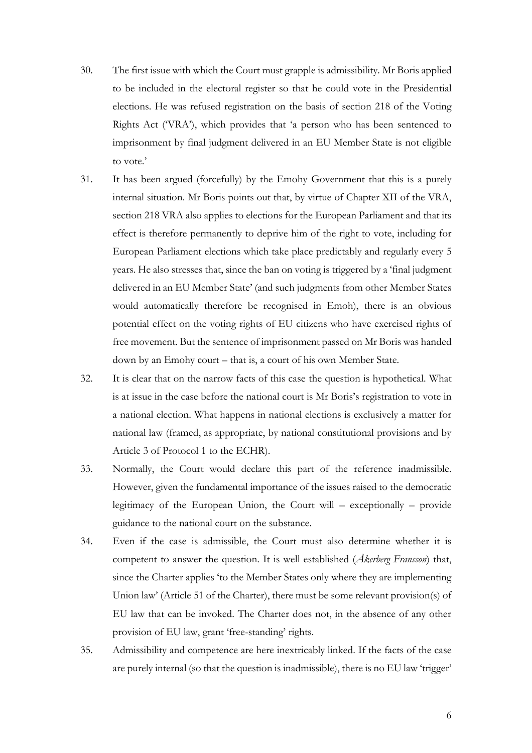- 30. The first issue with which the Court must grapple is admissibility. Mr Boris applied to be included in the electoral register so that he could vote in the Presidential elections. He was refused registration on the basis of section 218 of the Voting Rights Act ('VRA'), which provides that 'a person who has been sentenced to imprisonment by final judgment delivered in an EU Member State is not eligible to vote.'
- 31. It has been argued (forcefully) by the Emohy Government that this is a purely internal situation. Mr Boris points out that, by virtue of Chapter XII of the VRA, section 218 VRA also applies to elections for the European Parliament and that its effect is therefore permanently to deprive him of the right to vote, including for European Parliament elections which take place predictably and regularly every 5 years. He also stresses that, since the ban on voting is triggered by a 'final judgment delivered in an EU Member State' (and such judgments from other Member States would automatically therefore be recognised in Emoh), there is an obvious potential effect on the voting rights of EU citizens who have exercised rights of free movement. But the sentence of imprisonment passed on Mr Boris was handed down by an Emohy court – that is, a court of his own Member State.
- 32. It is clear that on the narrow facts of this case the question is hypothetical. What is at issue in the case before the national court is Mr Boris's registration to vote in a national election. What happens in national elections is exclusively a matter for national law (framed, as appropriate, by national constitutional provisions and by Article 3 of Protocol 1 to the ECHR).
- 33. Normally, the Court would declare this part of the reference inadmissible. However, given the fundamental importance of the issues raised to the democratic legitimacy of the European Union, the Court will – exceptionally – provide guidance to the national court on the substance.
- 34. Even if the case is admissible, the Court must also determine whether it is competent to answer the question. It is well established (*Åkerberg Fransson*) that, since the Charter applies 'to the Member States only where they are implementing Union law' (Article 51 of the Charter), there must be some relevant provision(s) of EU law that can be invoked. The Charter does not, in the absence of any other provision of EU law, grant 'free-standing' rights.
- 35. Admissibility and competence are here inextricably linked. If the facts of the case are purely internal (so that the question is inadmissible), there is no EU law 'trigger'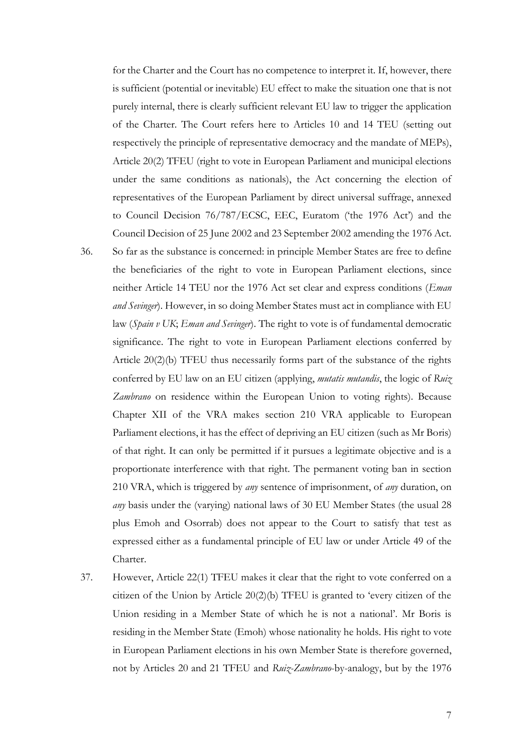for the Charter and the Court has no competence to interpret it. If, however, there is sufficient (potential or inevitable) EU effect to make the situation one that is not purely internal, there is clearly sufficient relevant EU law to trigger the application of the Charter. The Court refers here to Articles 10 and 14 TEU (setting out respectively the principle of representative democracy and the mandate of MEPs), Article 20(2) TFEU (right to vote in European Parliament and municipal elections under the same conditions as nationals), the Act concerning the election of representatives of the European Parliament by direct universal suffrage, annexed to Council Decision 76/787/ECSC, EEC, Euratom ('the 1976 Act') and the Council Decision of 25 June 2002 and 23 September 2002 amending the 1976 Act.

- 36. So far as the substance is concerned: in principle Member States are free to define the beneficiaries of the right to vote in European Parliament elections, since neither Article 14 TEU nor the 1976 Act set clear and express conditions (*Eman and Sevinger*). However, in so doing Member States must act in compliance with EU law (*Spain v UK*; *Eman and Sevinger*). The right to vote is of fundamental democratic significance. The right to vote in European Parliament elections conferred by Article 20(2)(b) TFEU thus necessarily forms part of the substance of the rights conferred by EU law on an EU citizen (applying, *mutatis mutandis*, the logic of *Ruiz Zambrano* on residence within the European Union to voting rights). Because Chapter XII of the VRA makes section 210 VRA applicable to European Parliament elections, it has the effect of depriving an EU citizen (such as Mr Boris) of that right. It can only be permitted if it pursues a legitimate objective and is a proportionate interference with that right. The permanent voting ban in section 210 VRA, which is triggered by *any* sentence of imprisonment, of *any* duration, on *any* basis under the (varying) national laws of 30 EU Member States (the usual 28 plus Emoh and Osorrab) does not appear to the Court to satisfy that test as expressed either as a fundamental principle of EU law or under Article 49 of the Charter.
- 37. However, Article 22(1) TFEU makes it clear that the right to vote conferred on a citizen of the Union by Article 20(2)(b) TFEU is granted to 'every citizen of the Union residing in a Member State of which he is not a national'. Mr Boris is residing in the Member State (Emoh) whose nationality he holds. His right to vote in European Parliament elections in his own Member State is therefore governed, not by Articles 20 and 21 TFEU and *Ruiz-Zambrano*-by-analogy, but by the 1976